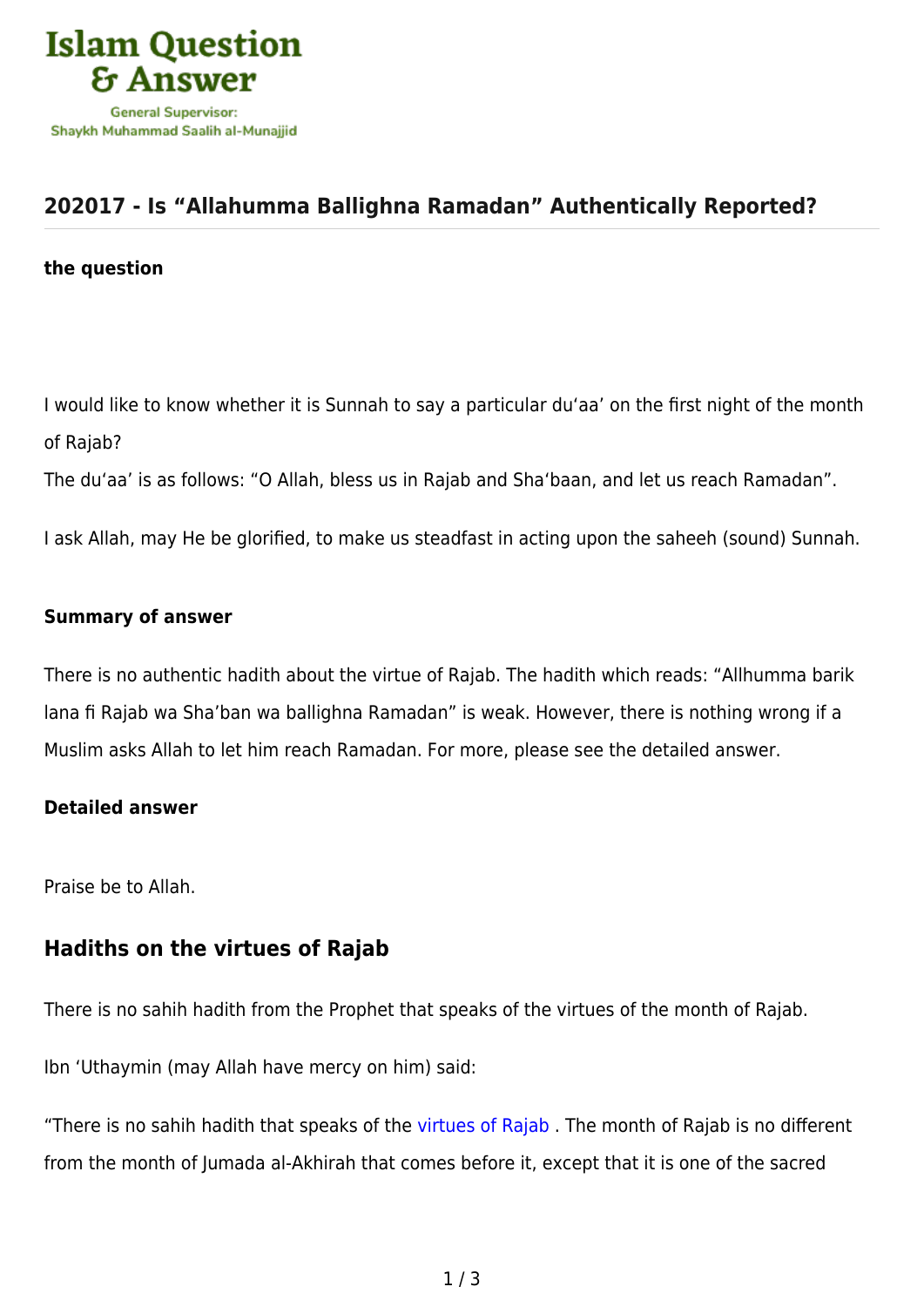

## **[202017 - Is "Allahumma Ballighna Ramadan" Authentically Reported?](https://islamqa.com/en/answers/202017/is-allahumma-ballighna-ramadan-authentically-reported)**

#### **the question**

I would like to know whether it is Sunnah to say a particular du'aa' on the first night of the month of Rajab?

The du'aa' is as follows: "O Allah, bless us in Rajab and Sha'baan, and let us reach Ramadan".

I ask Allah, may He be glorified, to make us steadfast in acting upon the saheeh (sound) Sunnah.

#### **Summary of answer**

There is no authentic hadith about the virtue of Rajab. The hadith which reads: "Allhumma barik lana fi Rajab wa Sha'ban wa ballighna Ramadan" is weak. However, there is nothing wrong if a Muslim asks Allah to let him reach Ramadan. For more, please see the detailed answer.

#### **Detailed answer**

Praise be to Allah.

### **Hadiths on the virtues of Rajab**

There is no sahih hadith from the Prophet that speaks of the virtues of the month of Rajab.

Ibn 'Uthaymin (may Allah have mercy on him) said:

"There is no sahih hadith that speaks of the [virtues of Rajab](https://islamqa.com/en/answers/171509). The month of Rajab is no different from the month of Jumada al-Akhirah that comes before it, except that it is one of the sacred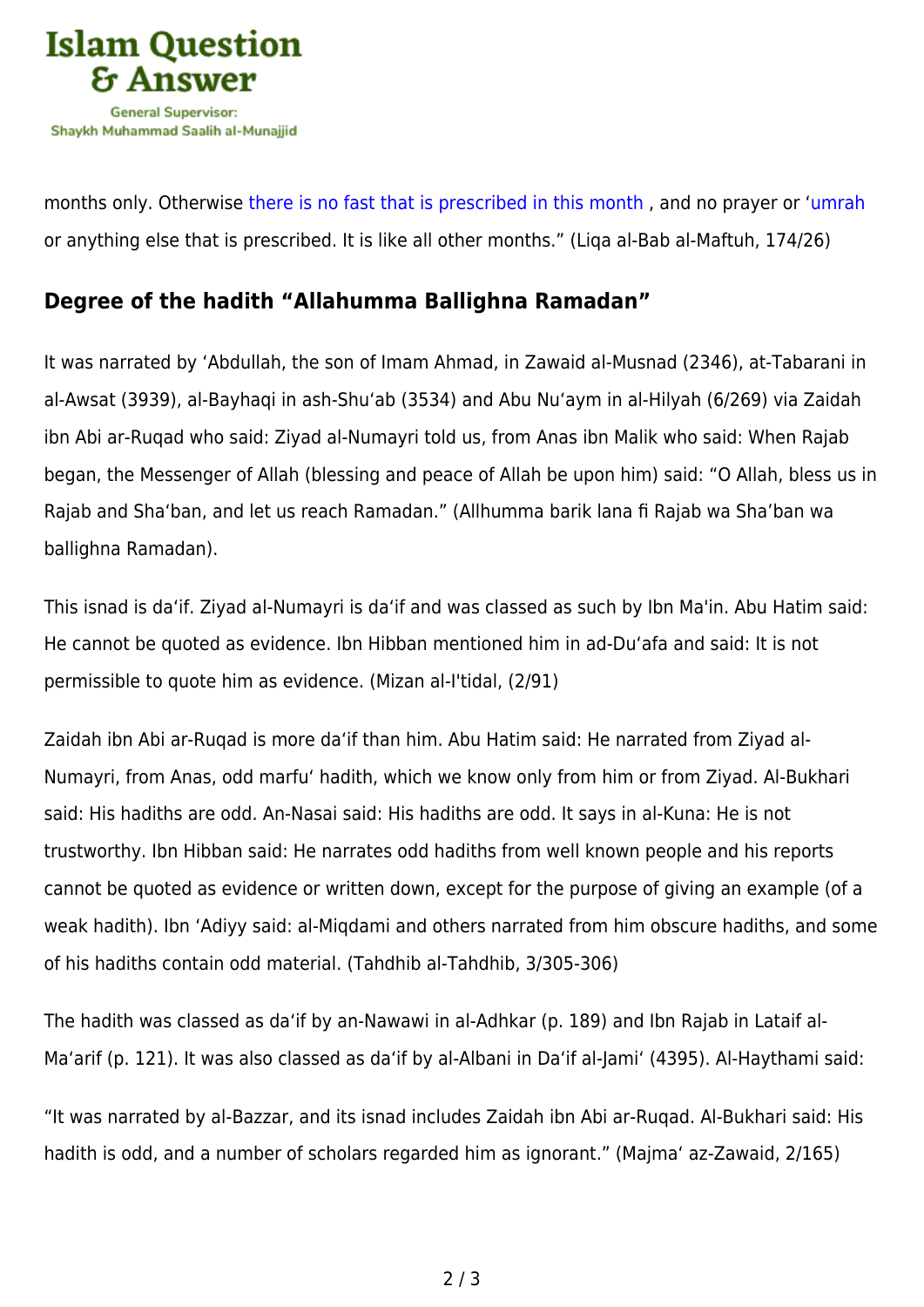

months only. Otherwise [there is no fast that is prescribed in this month](https://islamqa.com/en/answers/75394) , and no prayer or ['umrah](https://islamqa.com/en/answers/36766) or anything else that is prescribed. It is like all other months." (Liqa al-Bab al-Maftuh, 174/26)

# **Degree of the hadith "Allahumma Ballighna Ramadan"**

It was narrated by 'Abdullah, the son of Imam Ahmad, in Zawaid al-Musnad (2346), at-Tabarani in al-Awsat (3939), al-Bayhaqi in ash-Shu'ab (3534) and Abu Nu'aym in al-Hilyah (6/269) via Zaidah ibn Abi ar-Ruqad who said: Ziyad al-Numayri told us, from Anas ibn Malik who said: When Rajab began, the Messenger of Allah (blessing and peace of Allah be upon him) said: "O Allah, bless us in Rajab and Sha'ban, and let us reach Ramadan." (Allhumma barik lana fi Rajab wa Sha'ban wa ballighna Ramadan).

This isnad is da'if. Ziyad al-Numayri is da'if and was classed as such by Ibn Ma'in. Abu Hatim said: He cannot be quoted as evidence. Ibn Hibban mentioned him in ad-Du'afa and said: It is not permissible to quote him as evidence. (Mizan al-I'tidal, (2/91)

Zaidah ibn Abi ar-Ruqad is more da'if than him. Abu Hatim said: He narrated from Ziyad al-Numayri, from Anas, odd marfu' hadith, which we know only from him or from Ziyad. Al-Bukhari said: His hadiths are odd. An-Nasai said: His hadiths are odd. It says in al-Kuna: He is not trustworthy. Ibn Hibban said: He narrates odd hadiths from well known people and his reports cannot be quoted as evidence or written down, except for the purpose of giving an example (of a weak hadith). Ibn 'Adiyy said: al-Miqdami and others narrated from him obscure hadiths, and some of his hadiths contain odd material. (Tahdhib al-Tahdhib, 3/305-306)

The hadith was classed as da'if by an-Nawawi in al-Adhkar (p. 189) and Ibn Rajab in Lataif al-Ma'arif (p. 121). It was also classed as da'if by al-Albani in Da'if al-Jami' (4395). Al-Haythami said:

"It was narrated by al-Bazzar, and its isnad includes Zaidah ibn Abi ar-Ruqad. Al-Bukhari said: His hadith is odd, and a number of scholars regarded him as ignorant." (Majma' az-Zawaid, 2/165)